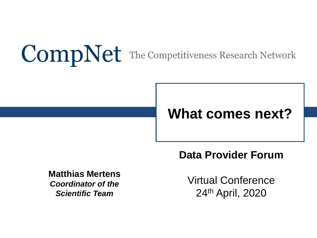# **CompNet** The Competitiveness Research Network

## **What comes next?**

**Data Provider Forum**

**Matthias Mertens** *Coordinator of the Scientific Team*

Virtual Conference 24th April, 2020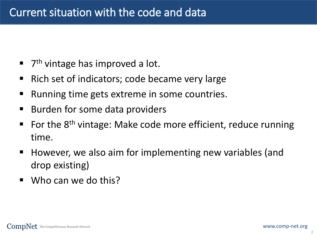- 7<sup>th</sup> vintage has improved a lot.
- Rich set of indicators; code became very large
- Running time gets extreme in some countries.
- Burden for some data providers
- $\blacksquare$  For the 8<sup>th</sup> vintage: Make code more efficient, reduce running time.
- However, we also aim for implementing new variables (and drop existing)
- Who can we do this?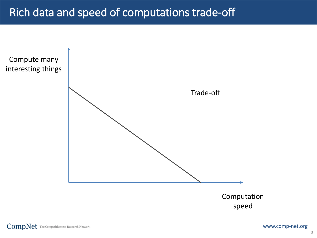#### Rich data and speed of computations trade-off

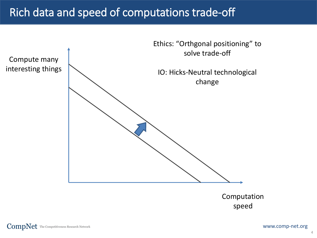#### Rich data and speed of computations trade-off



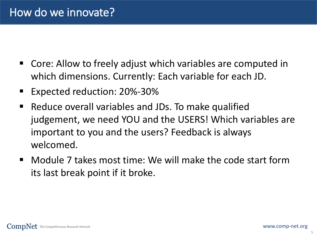- Core: Allow to freely adjust which variables are computed in which dimensions. Currently: Each variable for each JD.
- Expected reduction: 20%-30%
- Reduce overall variables and JDs. To make qualified judgement, we need YOU and the USERS! Which variables are important to you and the users? Feedback is always welcomed.
- Module 7 takes most time: We will make the code start form its last break point if it broke.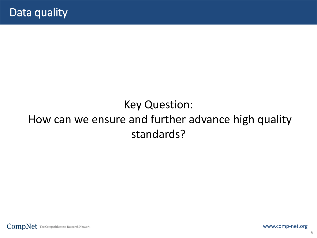### Key Question: How can we ensure and further advance high quality standards?

 $\textbf{CompNet} \text{ The Competitiveness Research Network}$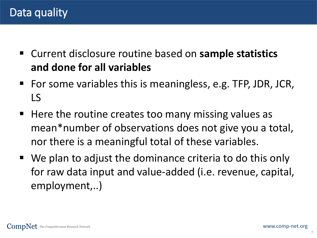- Current disclosure routine based on **sample statistics and done for all variables**
- For some variables this is meaningless, e.g. TFP, JDR, JCR, LS
- Here the routine creates too many missing values as mean\*number of observations does not give you a total, nor there is a meaningful total of these variables.
- We plan to adjust the dominance criteria to do this only for raw data input and value-added (i.e. revenue, capital, employment,..)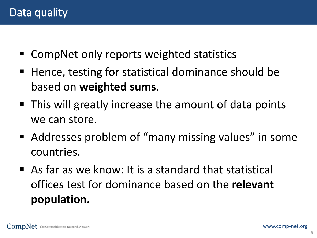- CompNet only reports weighted statistics
- Hence, testing for statistical dominance should be based on **weighted sums**.
- This will greatly increase the amount of data points we can store.
- Addresses problem of "many missing values" in some countries.
- $\blacksquare$  As far as we know: It is a standard that statistical offices test for dominance based on the **relevant population.**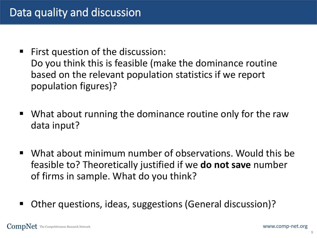- First question of the discussion: Do you think this is feasible (make the dominance routine based on the relevant population statistics if we report population figures)?
- What about running the dominance routine only for the raw data input?
- What about minimum number of observations. Would this be feasible to? Theoretically justified if we **do not save** number of firms in sample. What do you think?
- Other questions, ideas, suggestions (General discussion)?